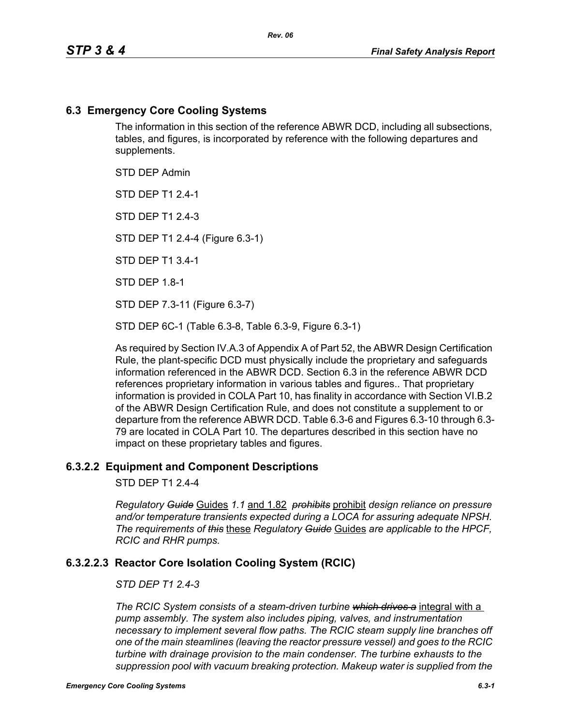## **6.3 Emergency Core Cooling Systems**

The information in this section of the reference ABWR DCD, including all subsections, tables, and figures, is incorporated by reference with the following departures and supplements.

STD DEP Admin

STD DEP T1 2.4-1

STD DFP T1 2 4-3

STD DEP T1 2.4-4 (Figure 6.3-1)

STD DEP T1 3.4-1

STD DEP 1.8-1

STD DEP 7.3-11 (Figure 6.3-7)

STD DEP 6C-1 (Table 6.3-8, Table 6.3-9, Figure 6.3-1)

As required by Section IV.A.3 of Appendix A of Part 52, the ABWR Design Certification Rule, the plant-specific DCD must physically include the proprietary and safeguards information referenced in the ABWR DCD. Section 6.3 in the reference ABWR DCD references proprietary information in various tables and figures.. That proprietary information is provided in COLA Part 10, has finality in accordance with Section VI.B.2 of the ABWR Design Certification Rule, and does not constitute a supplement to or departure from the reference ABWR DCD. Table 6.3-6 and Figures 6.3-10 through 6.3- 79 are located in COLA Part 10. The departures described in this section have no impact on these proprietary tables and figures.

#### **6.3.2.2 Equipment and Component Descriptions**

STD DEP T1 2.4-4

*Regulatory Guide* Guides *1.1* and 1.82 *prohibits* prohibit *design reliance on pressure and/or temperature transients expected during a LOCA for assuring adequate NPSH. The requirements of this* these *Regulatory Guide* Guides *are applicable to the HPCF, RCIC and RHR pumps.*

## **6.3.2.2.3 Reactor Core Isolation Cooling System (RCIC)**

#### *STD DEP T1 2.4-3*

*The RCIC System consists of a steam-driven turbine which drives a* integral with a *pump assembly. The system also includes piping, valves, and instrumentation necessary to implement several flow paths. The RCIC steam supply line branches off one of the main steamlines (leaving the reactor pressure vessel) and goes to the RCIC turbine with drainage provision to the main condenser. The turbine exhausts to the suppression pool with vacuum breaking protection. Makeup water is supplied from the*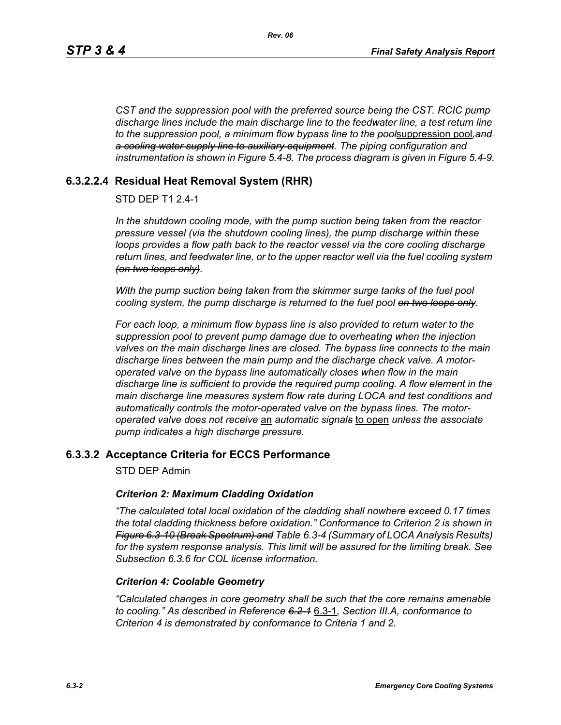*CST and the suppression pool with the preferred source being the CST. RCIC pump discharge lines include the main discharge line to the feedwater line, a test return line to the suppression pool, a minimum flow bypass line to the pool*suppression pool*,and a cooling water supply line to auxiliary equipment. The piping configuration and instrumentation is shown in Figure 5.4-8. The process diagram is given in Figure 5.4-9.*

# **6.3.2.2.4 Residual Heat Removal System (RHR)**

## STD DEP T1 2.4-1

*In the shutdown cooling mode, with the pump suction being taken from the reactor pressure vessel (via the shutdown cooling lines), the pump discharge within these loops provides a flow path back to the reactor vessel via the core cooling discharge return lines, and feedwater line, or to the upper reactor well via the fuel cooling system (on two loops only).*

*With the pump suction being taken from the skimmer surge tanks of the fuel pool cooling system, the pump discharge is returned to the fuel pool on two loops only.*

*For each loop, a minimum flow bypass line is also provided to return water to the suppression pool to prevent pump damage due to overheating when the injection valves on the main discharge lines are closed. The bypass line connects to the main discharge lines between the main pump and the discharge check valve. A motoroperated valve on the bypass line automatically closes when flow in the main discharge line is sufficient to provide the required pump cooling. A flow element in the main discharge line measures system flow rate during LOCA and test conditions and automatically controls the motor-operated valve on the bypass lines. The motoroperated valve does not receive* an *automatic signals* to open *unless the associate pump indicates a high discharge pressure.*

## **6.3.3.2 Acceptance Criteria for ECCS Performance**

STD DEP Admin

#### *Criterion 2: Maximum Cladding Oxidation*

*"The calculated total local oxidation of the cladding shall nowhere exceed 0.17 times the total cladding thickness before oxidation." Conformance to Criterion 2 is shown in Figure 6.3-10 (Break Spectrum) and Table 6.3-4 (Summary of LOCA Analysis Results) for the system response analysis. This limit will be assured for the limiting break. See Subsection [6.3.6](#page-2-0) for COL license information.*

#### *Criterion 4: Coolable Geometry*

*"Calculated changes in core geometry shall be such that the core remains amenable to cooling." As described in Reference 6.2-1* 6.3-1*, Section III.A, conformance to Criterion 4 is demonstrated by conformance to Criteria 1 and 2.*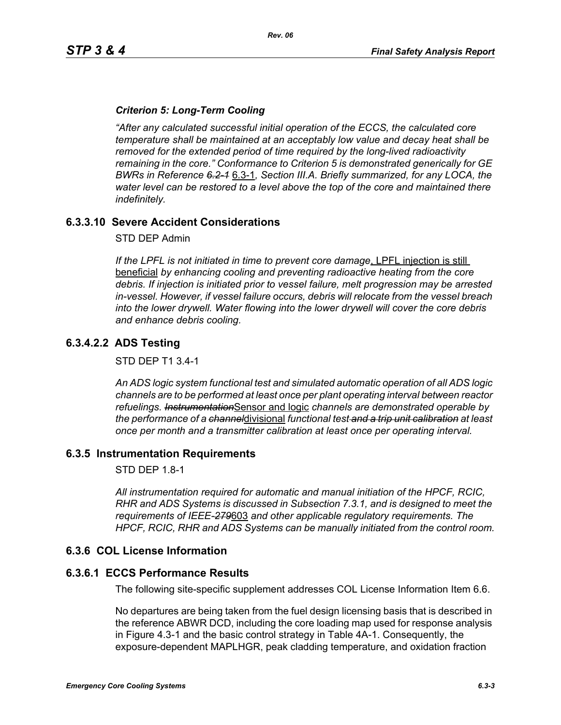### *Criterion 5: Long-Term Cooling*

*"After any calculated successful initial operation of the ECCS, the calculated core temperature shall be maintained at an acceptably low value and decay heat shall be removed for the extended period of time required by the long-lived radioactivity remaining in the core." Conformance to Criterion 5 is demonstrated generically for GE BWRs in Reference 6.2-1* 6.3-1*, Section III.A. Briefly summarized, for any LOCA, the water level can be restored to a level above the top of the core and maintained there indefinitely.*

## **6.3.3.10 Severe Accident Considerations**

STD DEP Admin

*If the LPFL is not initiated in time to prevent core damage*, LPFL injection is still beneficial *by enhancing cooling and preventing radioactive heating from the core debris. If injection is initiated prior to vessel failure, melt progression may be arrested in-vessel. However, if vessel failure occurs, debris will relocate from the vessel breach into the lower drywell. Water flowing into the lower drywell will cover the core debris and enhance debris cooling.*

## **6.3.4.2.2 ADS Testing**

STD DEP T1 3.4-1

*An ADS logic system functional test and simulated automatic operation of all ADS logic channels are to be performed at least once per plant operating interval between reactor refuelings. Instrumentation*Sensor and logic *channels are demonstrated operable by the performance of a channel*divisional *functional test and a trip unit calibration at least once per month and a transmitter calibration at least once per operating interval.*

#### **6.3.5 Instrumentation Requirements**

STD DEP 1.8-1

*All instrumentation required for automatic and manual initiation of the HPCF, RCIC, RHR and ADS Systems is discussed in Subsection 7.3.1, and is designed to meet the requirements of IEEE-279*603 *and other applicable regulatory requirements. The HPCF, RCIC, RHR and ADS Systems can be manually initiated from the control room.*

#### <span id="page-2-0"></span>**6.3.6 COL License Information**

#### **6.3.6.1 ECCS Performance Results**

The following site-specific supplement addresses COL License Information Item 6.6.

No departures are being taken from the fuel design licensing basis that is described in the reference ABWR DCD, including the core loading map used for response analysis in Figure 4.3-1 and the basic control strategy in Table 4A-1. Consequently, the exposure-dependent MAPLHGR, peak cladding temperature, and oxidation fraction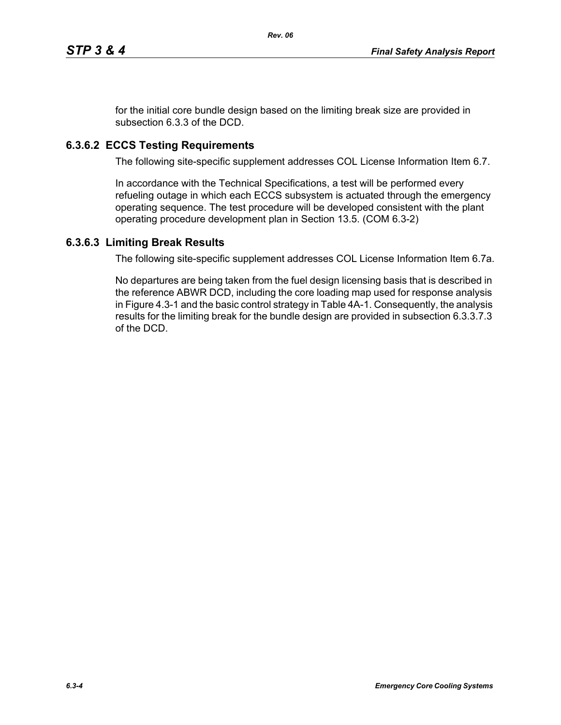for the initial core bundle design based on the limiting break size are provided in subsection 6.3.3 of the DCD.

# **6.3.6.2 ECCS Testing Requirements**

The following site-specific supplement addresses COL License Information Item 6.7.

In accordance with the Technical Specifications, a test will be performed every refueling outage in which each ECCS subsystem is actuated through the emergency operating sequence. The test procedure will be developed consistent with the plant operating procedure development plan in Section 13.5. (COM 6.3-2)

## **6.3.6.3 Limiting Break Results**

The following site-specific supplement addresses COL License Information Item 6.7a.

No departures are being taken from the fuel design licensing basis that is described in the reference ABWR DCD, including the core loading map used for response analysis in Figure 4.3-1 and the basic control strategy in Table 4A-1. Consequently, the analysis results for the limiting break for the bundle design are provided in subsection 6.3.3.7.3 of the DCD.